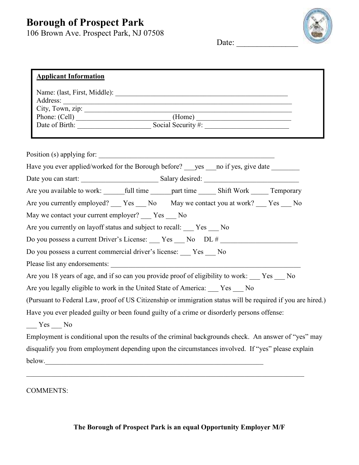## **Borough of Prospect Park**

106 Brown Ave. Prospect Park, NJ 07508



Date:  $\frac{ }{ }$ 

| <b>Applicant Information</b>                                                                                          |
|-----------------------------------------------------------------------------------------------------------------------|
|                                                                                                                       |
| City, Town, zip: $\qquad \qquad$ (Home)                                                                               |
| Date of Birth: Social Security #:                                                                                     |
| Position (s) applying for:                                                                                            |
| Have you ever applied/worked for the Borough before? ___ yes ___ no if yes, give date _______                         |
|                                                                                                                       |
| Are you available to work: ________ full time _______ part time _______ Shift Work ______ Temporary                   |
| Are you currently employed? ___ Yes ___ No May we contact you at work? ___ Yes ___ No                                 |
| May we contact your current employer? ___ Yes ___ No                                                                  |
| Are you currently on layoff status and subject to recall: Ves __ No                                                   |
| Do you possess a current Driver's License: ___ Yes ___ No __ DL # ______________                                      |
| Do you possess a current commercial driver's license: ___ Yes ___ No                                                  |
|                                                                                                                       |
| Are you 18 years of age, and if so can you provide proof of eligibility to work: Ves No                               |
| Are you legally eligible to work in the United State of America: Ves __ No                                            |
| (Pursuant to Federal Law, proof of US Citizenship or immigration status will be required if you are hired.)           |
| Have you ever pleaded guilty or been found guilty of a crime or disorderly persons offense:<br>$Yes$ <sub>__</sub> No |
| Employment is conditional upon the results of the criminal backgrounds check. An answer of "yes" may                  |
| disqualify you from employment depending upon the circumstances involved. If "yes" please explain                     |
| below.                                                                                                                |
|                                                                                                                       |

COMMENTS: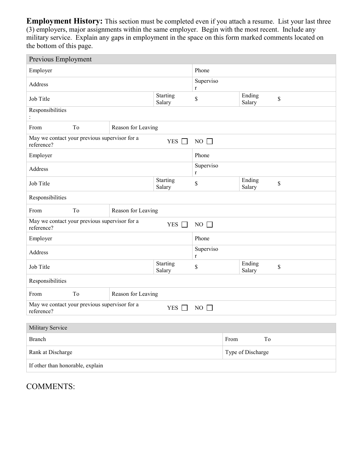**Employment History:** This section must be completed even if you attach a resume. List your last three (3) employers, major assignments within the same employer. Begin with the most recent. Include any military service. Explain any gaps in employment in the space on this form marked comments located on the bottom of this page.

| Previous Employment                                                                      |                          |                    |  |                        |                  |                   |    |    |  |
|------------------------------------------------------------------------------------------|--------------------------|--------------------|--|------------------------|------------------|-------------------|----|----|--|
| Employer                                                                                 |                          |                    |  | Phone                  |                  |                   |    |    |  |
| Address                                                                                  |                          |                    |  | Superviso<br>$r_{\rm}$ |                  |                   |    |    |  |
| Job Title                                                                                | Starting<br>Salary       | \$                 |  | Ending<br>Salary       |                  | \$                |    |    |  |
| Responsibilities                                                                         |                          |                    |  |                        |                  |                   |    |    |  |
| From                                                                                     | To                       | Reason for Leaving |  |                        |                  |                   |    |    |  |
| May we contact your previous supervisor for a<br>YES $\Box$<br>$NO$ $\Box$<br>reference? |                          |                    |  |                        |                  |                   |    |    |  |
| Employer                                                                                 |                          |                    |  | Phone                  |                  |                   |    |    |  |
| Address                                                                                  |                          |                    |  | Superviso<br>r         |                  |                   |    |    |  |
| Job Title                                                                                |                          |                    |  | \$                     | Ending<br>Salary |                   |    | \$ |  |
| Responsibilities                                                                         |                          |                    |  |                        |                  |                   |    |    |  |
| From                                                                                     | To<br>Reason for Leaving |                    |  |                        |                  |                   |    |    |  |
| May we contact your previous supervisor for a<br>$NO$ $\Box$<br>YES $\Box$<br>reference? |                          |                    |  |                        |                  |                   |    |    |  |
| Employer                                                                                 |                          |                    |  | Phone                  |                  |                   |    |    |  |
| Address                                                                                  |                          |                    |  | Superviso<br>r         |                  |                   |    |    |  |
| Job Title                                                                                | Starting<br>Salary       |                    |  | \$                     |                  | Ending<br>Salary  |    | \$ |  |
| Responsibilities                                                                         |                          |                    |  |                        |                  |                   |    |    |  |
| From                                                                                     | To<br>Reason for Leaving |                    |  |                        |                  |                   |    |    |  |
| May we contact your previous supervisor for a<br>YES $\Box$<br>$NO$ $\Box$<br>reference? |                          |                    |  |                        |                  |                   |    |    |  |
|                                                                                          |                          |                    |  |                        |                  |                   |    |    |  |
| Military Service                                                                         |                          |                    |  |                        |                  |                   |    |    |  |
| <b>Branch</b>                                                                            |                          |                    |  |                        | From             |                   | To |    |  |
| Rank at Discharge                                                                        |                          |                    |  |                        |                  | Type of Discharge |    |    |  |
| If other than honorable, explain                                                         |                          |                    |  |                        |                  |                   |    |    |  |

COMMENTS: